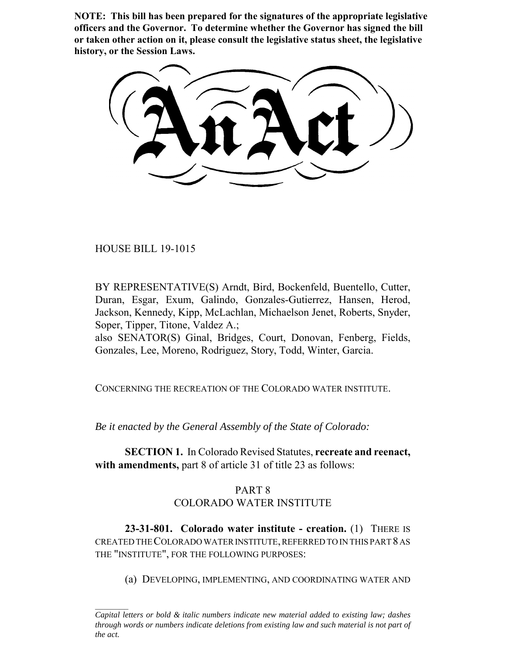**NOTE: This bill has been prepared for the signatures of the appropriate legislative officers and the Governor. To determine whether the Governor has signed the bill or taken other action on it, please consult the legislative status sheet, the legislative history, or the Session Laws.**

HOUSE BILL 19-1015

BY REPRESENTATIVE(S) Arndt, Bird, Bockenfeld, Buentello, Cutter, Duran, Esgar, Exum, Galindo, Gonzales-Gutierrez, Hansen, Herod, Jackson, Kennedy, Kipp, McLachlan, Michaelson Jenet, Roberts, Snyder, Soper, Tipper, Titone, Valdez A.;

also SENATOR(S) Ginal, Bridges, Court, Donovan, Fenberg, Fields, Gonzales, Lee, Moreno, Rodriguez, Story, Todd, Winter, Garcia.

CONCERNING THE RECREATION OF THE COLORADO WATER INSTITUTE.

*Be it enacted by the General Assembly of the State of Colorado:*

**SECTION 1.** In Colorado Revised Statutes, **recreate and reenact, with amendments,** part 8 of article 31 of title 23 as follows:

## PART 8 COLORADO WATER INSTITUTE

**23-31-801. Colorado water institute - creation.** (1) THERE IS CREATED THE COLORADO WATER INSTITUTE, REFERRED TO IN THIS PART 8 AS THE "INSTITUTE", FOR THE FOLLOWING PURPOSES:

(a) DEVELOPING, IMPLEMENTING, AND COORDINATING WATER AND

*Capital letters or bold & italic numbers indicate new material added to existing law; dashes through words or numbers indicate deletions from existing law and such material is not part of the act.*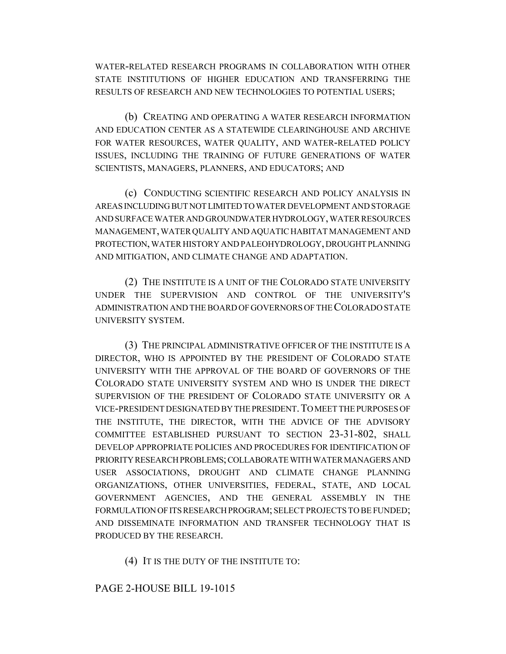WATER-RELATED RESEARCH PROGRAMS IN COLLABORATION WITH OTHER STATE INSTITUTIONS OF HIGHER EDUCATION AND TRANSFERRING THE RESULTS OF RESEARCH AND NEW TECHNOLOGIES TO POTENTIAL USERS;

(b) CREATING AND OPERATING A WATER RESEARCH INFORMATION AND EDUCATION CENTER AS A STATEWIDE CLEARINGHOUSE AND ARCHIVE FOR WATER RESOURCES, WATER QUALITY, AND WATER-RELATED POLICY ISSUES, INCLUDING THE TRAINING OF FUTURE GENERATIONS OF WATER SCIENTISTS, MANAGERS, PLANNERS, AND EDUCATORS; AND

(c) CONDUCTING SCIENTIFIC RESEARCH AND POLICY ANALYSIS IN AREAS INCLUDING BUT NOT LIMITED TO WATER DEVELOPMENT AND STORAGE AND SURFACE WATER AND GROUNDWATER HYDROLOGY, WATER RESOURCES MANAGEMENT, WATER QUALITY AND AQUATIC HABITAT MANAGEMENT AND PROTECTION, WATER HISTORY AND PALEOHYDROLOGY, DROUGHT PLANNING AND MITIGATION, AND CLIMATE CHANGE AND ADAPTATION.

(2) THE INSTITUTE IS A UNIT OF THE COLORADO STATE UNIVERSITY UNDER THE SUPERVISION AND CONTROL OF THE UNIVERSITY'S ADMINISTRATION AND THE BOARD OF GOVERNORS OF THE COLORADO STATE UNIVERSITY SYSTEM.

(3) THE PRINCIPAL ADMINISTRATIVE OFFICER OF THE INSTITUTE IS A DIRECTOR, WHO IS APPOINTED BY THE PRESIDENT OF COLORADO STATE UNIVERSITY WITH THE APPROVAL OF THE BOARD OF GOVERNORS OF THE COLORADO STATE UNIVERSITY SYSTEM AND WHO IS UNDER THE DIRECT SUPERVISION OF THE PRESIDENT OF COLORADO STATE UNIVERSITY OR A VICE-PRESIDENT DESIGNATED BY THE PRESIDENT.TO MEET THE PURPOSES OF THE INSTITUTE, THE DIRECTOR, WITH THE ADVICE OF THE ADVISORY COMMITTEE ESTABLISHED PURSUANT TO SECTION 23-31-802, SHALL DEVELOP APPROPRIATE POLICIES AND PROCEDURES FOR IDENTIFICATION OF PRIORITY RESEARCH PROBLEMS; COLLABORATE WITH WATER MANAGERS AND USER ASSOCIATIONS, DROUGHT AND CLIMATE CHANGE PLANNING ORGANIZATIONS, OTHER UNIVERSITIES, FEDERAL, STATE, AND LOCAL GOVERNMENT AGENCIES, AND THE GENERAL ASSEMBLY IN THE FORMULATION OF ITS RESEARCH PROGRAM; SELECT PROJECTS TO BE FUNDED; AND DISSEMINATE INFORMATION AND TRANSFER TECHNOLOGY THAT IS PRODUCED BY THE RESEARCH.

(4) IT IS THE DUTY OF THE INSTITUTE TO:

## PAGE 2-HOUSE BILL 19-1015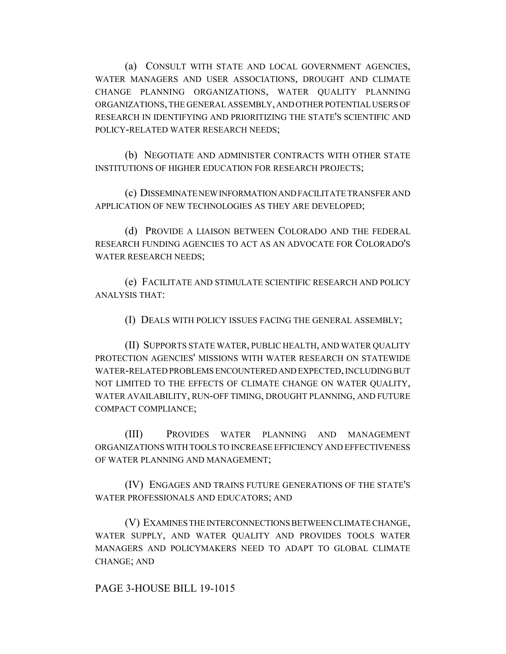(a) CONSULT WITH STATE AND LOCAL GOVERNMENT AGENCIES, WATER MANAGERS AND USER ASSOCIATIONS, DROUGHT AND CLIMATE CHANGE PLANNING ORGANIZATIONS, WATER QUALITY PLANNING ORGANIZATIONS, THE GENERAL ASSEMBLY, AND OTHER POTENTIAL USERS OF RESEARCH IN IDENTIFYING AND PRIORITIZING THE STATE'S SCIENTIFIC AND POLICY-RELATED WATER RESEARCH NEEDS;

(b) NEGOTIATE AND ADMINISTER CONTRACTS WITH OTHER STATE INSTITUTIONS OF HIGHER EDUCATION FOR RESEARCH PROJECTS;

(c) DISSEMINATE NEW INFORMATION AND FACILITATE TRANSFER AND APPLICATION OF NEW TECHNOLOGIES AS THEY ARE DEVELOPED;

(d) PROVIDE A LIAISON BETWEEN COLORADO AND THE FEDERAL RESEARCH FUNDING AGENCIES TO ACT AS AN ADVOCATE FOR COLORADO'S WATER RESEARCH NEEDS;

(e) FACILITATE AND STIMULATE SCIENTIFIC RESEARCH AND POLICY ANALYSIS THAT:

(I) DEALS WITH POLICY ISSUES FACING THE GENERAL ASSEMBLY;

(II) SUPPORTS STATE WATER, PUBLIC HEALTH, AND WATER QUALITY PROTECTION AGENCIES' MISSIONS WITH WATER RESEARCH ON STATEWIDE WATER-RELATED PROBLEMS ENCOUNTERED AND EXPECTED, INCLUDING BUT NOT LIMITED TO THE EFFECTS OF CLIMATE CHANGE ON WATER QUALITY, WATER AVAILABILITY, RUN-OFF TIMING, DROUGHT PLANNING, AND FUTURE COMPACT COMPLIANCE;

(III) PROVIDES WATER PLANNING AND MANAGEMENT ORGANIZATIONS WITH TOOLS TO INCREASE EFFICIENCY AND EFFECTIVENESS OF WATER PLANNING AND MANAGEMENT;

(IV) ENGAGES AND TRAINS FUTURE GENERATIONS OF THE STATE'S WATER PROFESSIONALS AND EDUCATORS; AND

(V) EXAMINES THE INTERCONNECTIONS BETWEEN CLIMATE CHANGE, WATER SUPPLY, AND WATER QUALITY AND PROVIDES TOOLS WATER MANAGERS AND POLICYMAKERS NEED TO ADAPT TO GLOBAL CLIMATE CHANGE; AND

PAGE 3-HOUSE BILL 19-1015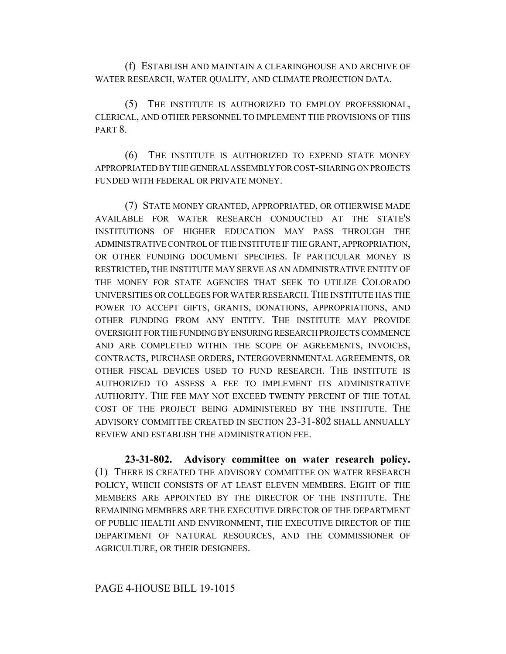(f) ESTABLISH AND MAINTAIN A CLEARINGHOUSE AND ARCHIVE OF WATER RESEARCH, WATER QUALITY, AND CLIMATE PROJECTION DATA.

(5) THE INSTITUTE IS AUTHORIZED TO EMPLOY PROFESSIONAL, CLERICAL, AND OTHER PERSONNEL TO IMPLEMENT THE PROVISIONS OF THIS PART<sub>8</sub>.

(6) THE INSTITUTE IS AUTHORIZED TO EXPEND STATE MONEY APPROPRIATED BY THE GENERAL ASSEMBLY FOR COST-SHARING ON PROJECTS FUNDED WITH FEDERAL OR PRIVATE MONEY.

(7) STATE MONEY GRANTED, APPROPRIATED, OR OTHERWISE MADE AVAILABLE FOR WATER RESEARCH CONDUCTED AT THE STATE'S INSTITUTIONS OF HIGHER EDUCATION MAY PASS THROUGH THE ADMINISTRATIVE CONTROL OF THE INSTITUTE IF THE GRANT, APPROPRIATION, OR OTHER FUNDING DOCUMENT SPECIFIES. IF PARTICULAR MONEY IS RESTRICTED, THE INSTITUTE MAY SERVE AS AN ADMINISTRATIVE ENTITY OF THE MONEY FOR STATE AGENCIES THAT SEEK TO UTILIZE COLORADO UNIVERSITIES OR COLLEGES FOR WATER RESEARCH.THE INSTITUTE HAS THE POWER TO ACCEPT GIFTS, GRANTS, DONATIONS, APPROPRIATIONS, AND OTHER FUNDING FROM ANY ENTITY. THE INSTITUTE MAY PROVIDE OVERSIGHT FOR THE FUNDING BY ENSURING RESEARCH PROJECTS COMMENCE AND ARE COMPLETED WITHIN THE SCOPE OF AGREEMENTS, INVOICES, CONTRACTS, PURCHASE ORDERS, INTERGOVERNMENTAL AGREEMENTS, OR OTHER FISCAL DEVICES USED TO FUND RESEARCH. THE INSTITUTE IS AUTHORIZED TO ASSESS A FEE TO IMPLEMENT ITS ADMINISTRATIVE AUTHORITY. THE FEE MAY NOT EXCEED TWENTY PERCENT OF THE TOTAL COST OF THE PROJECT BEING ADMINISTERED BY THE INSTITUTE. THE ADVISORY COMMITTEE CREATED IN SECTION 23-31-802 SHALL ANNUALLY REVIEW AND ESTABLISH THE ADMINISTRATION FEE.

**23-31-802. Advisory committee on water research policy.** (1) THERE IS CREATED THE ADVISORY COMMITTEE ON WATER RESEARCH POLICY, WHICH CONSISTS OF AT LEAST ELEVEN MEMBERS. EIGHT OF THE MEMBERS ARE APPOINTED BY THE DIRECTOR OF THE INSTITUTE. THE REMAINING MEMBERS ARE THE EXECUTIVE DIRECTOR OF THE DEPARTMENT OF PUBLIC HEALTH AND ENVIRONMENT, THE EXECUTIVE DIRECTOR OF THE DEPARTMENT OF NATURAL RESOURCES, AND THE COMMISSIONER OF AGRICULTURE, OR THEIR DESIGNEES.

## PAGE 4-HOUSE BILL 19-1015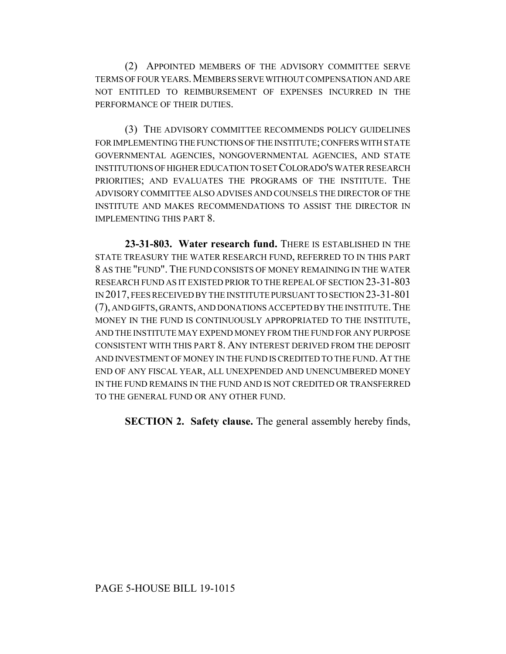(2) APPOINTED MEMBERS OF THE ADVISORY COMMITTEE SERVE TERMS OF FOUR YEARS.MEMBERS SERVE WITHOUT COMPENSATION AND ARE NOT ENTITLED TO REIMBURSEMENT OF EXPENSES INCURRED IN THE PERFORMANCE OF THEIR DUTIES.

(3) THE ADVISORY COMMITTEE RECOMMENDS POLICY GUIDELINES FOR IMPLEMENTING THE FUNCTIONS OF THE INSTITUTE; CONFERS WITH STATE GOVERNMENTAL AGENCIES, NONGOVERNMENTAL AGENCIES, AND STATE INSTITUTIONS OF HIGHER EDUCATION TO SET COLORADO'S WATER RESEARCH PRIORITIES; AND EVALUATES THE PROGRAMS OF THE INSTITUTE. THE ADVISORY COMMITTEE ALSO ADVISES AND COUNSELS THE DIRECTOR OF THE INSTITUTE AND MAKES RECOMMENDATIONS TO ASSIST THE DIRECTOR IN IMPLEMENTING THIS PART 8.

**23-31-803. Water research fund.** THERE IS ESTABLISHED IN THE STATE TREASURY THE WATER RESEARCH FUND, REFERRED TO IN THIS PART 8 AS THE "FUND". THE FUND CONSISTS OF MONEY REMAINING IN THE WATER RESEARCH FUND AS IT EXISTED PRIOR TO THE REPEAL OF SECTION 23-31-803 IN 2017, FEES RECEIVED BY THE INSTITUTE PURSUANT TO SECTION 23-31-801 (7), AND GIFTS, GRANTS, AND DONATIONS ACCEPTED BY THE INSTITUTE.THE MONEY IN THE FUND IS CONTINUOUSLY APPROPRIATED TO THE INSTITUTE, AND THE INSTITUTE MAY EXPEND MONEY FROM THE FUND FOR ANY PURPOSE CONSISTENT WITH THIS PART 8. ANY INTEREST DERIVED FROM THE DEPOSIT AND INVESTMENT OF MONEY IN THE FUND IS CREDITED TO THE FUND.AT THE END OF ANY FISCAL YEAR, ALL UNEXPENDED AND UNENCUMBERED MONEY IN THE FUND REMAINS IN THE FUND AND IS NOT CREDITED OR TRANSFERRED TO THE GENERAL FUND OR ANY OTHER FUND.

**SECTION 2. Safety clause.** The general assembly hereby finds,